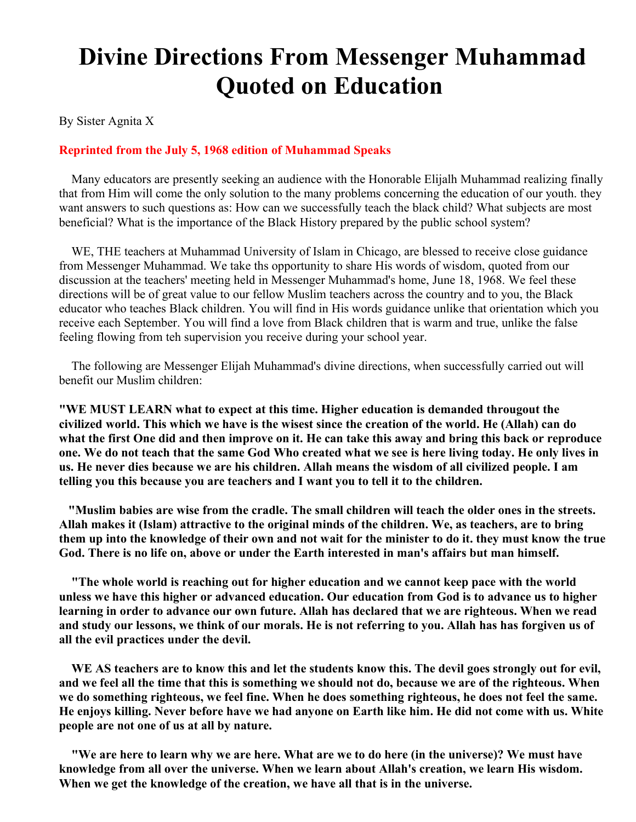## **Divine Directions From Messenger Muhammad Quoted on Education**

By Sister Agnita X

## **Reprinted from the July 5, 1968 edition of Muhammad Speaks**

 Many educators are presently seeking an audience with the Honorable Elijalh Muhammad realizing finally that from Him will come the only solution to the many problems concerning the education of our youth. they want answers to such questions as: How can we successfully teach the black child? What subjects are most beneficial? What is the importance of the Black History prepared by the public school system?

 WE, THE teachers at Muhammad University of Islam in Chicago, are blessed to receive close guidance from Messenger Muhammad. We take ths opportunity to share His words of wisdom, quoted from our discussion at the teachers' meeting held in Messenger Muhammad's home, June 18, 1968. We feel these directions will be of great value to our fellow Muslim teachers across the country and to you, the Black educator who teaches Black children. You will find in His words guidance unlike that orientation which you receive each September. You will find a love from Black children that is warm and true, unlike the false feeling flowing from teh supervision you receive during your school year.

 The following are Messenger Elijah Muhammad's divine directions, when successfully carried out will benefit our Muslim children:

**"WE MUST LEARN what to expect at this time. Higher education is demanded througout the civilized world. This which we have is the wisest since the creation of the world. He (Allah) can do what the first One did and then improve on it. He can take this away and bring this back or reproduce one. We do not teach that the same God Who created what we see is here living today. He only lives in us. He never dies because we are his children. Allah means the wisdom of all civilized people. I am telling you this because you are teachers and I want you to tell it to the children.**

**"Muslim babies are wise from the cradle. The small children will teach the older ones in the streets. Allah makes it (Islam) attractive to the original minds of the children. We, as teachers, are to bring them up into the knowledge of their own and not wait for the minister to do it. they must know the true God. There is no life on, above or under the Earth interested in man's affairs but man himself.**

**"The whole world is reaching out for higher education and we cannot keep pace with the world unless we have this higher or advanced education. Our education from God is to advance us to higher learning in order to advance our own future. Allah has declared that we are righteous. When we read and study our lessons, we think of our morals. He is not referring to you. Allah has has forgiven us of all the evil practices under the devil.**

**WE AS teachers are to know this and let the students know this. The devil goes strongly out for evil, and we feel all the time that this is something we should not do, because we are of the righteous. When we do something righteous, we feel fine. When he does something righteous, he does not feel the same. He enjoys killing. Never before have we had anyone on Earth like him. He did not come with us. White people are not one of us at all by nature.**

**"We are here to learn why we are here. What are we to do here (in the universe)? We must have knowledge from all over the universe. When we learn about Allah's creation, we learn His wisdom. When we get the knowledge of the creation, we have all that is in the universe.**